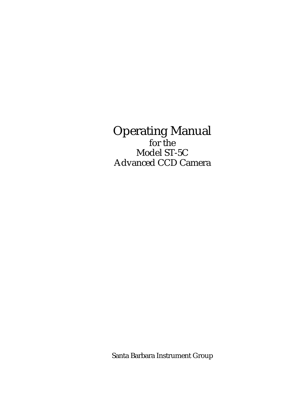# Operating Manual for the Model ST-5C Advanced CCD Camera

Santa Barbara Instrument Group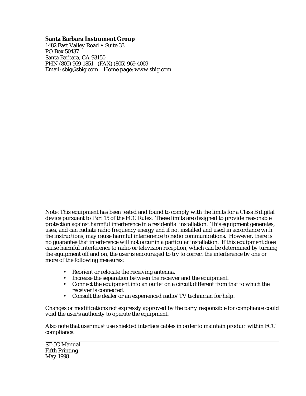#### **Santa Barbara Instrument Group**

1482 East Valley Road • Suite 33 PO Box 50437 Santa Barbara, CA 93150 PHN (805) 969-1851 (FAX) (805) 969-4069 Email: sbig@sbig.com Home page: www.sbig.com

Note: This equipment has been tested and found to comply with the limits for a Class B digital device pursuant to Part 15 of the FCC Rules. These limits are designed to provide reasonable protection against harmful interference in a residential installation. This equipment generates, uses, and can radiate radio frequency energy and if not installed and used in accordance with the instructions, may cause harmful interference to radio communications. However, there is no guarantee that interference will not occur in a particular installation. If this equipment does cause harmful interference to radio or television reception, which can be determined by turning the equipment off and on, the user is encouraged to try to correct the interference by one or more of the following measures:

- Reorient or relocate the receiving antenna.
- Increase the separation between the receiver and the equipment.
- Connect the equipment into an outlet on a circuit different from that to which the receiver is connected.
- Consult the dealer or an experienced radio/TV technician for help.

Changes or modifications not expressly approved by the party responsible for compliance could void the user's authority to operate the equipment.

Also note that user must use shielded interface cables in order to maintain product within FCC compliance.

ST-5C Manual Fifth Printing May 1998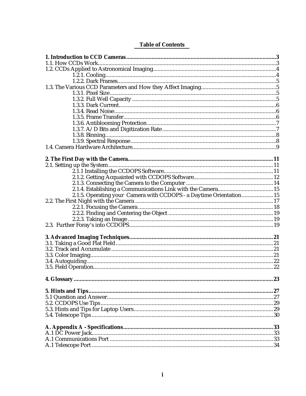| <b>Table of Contents</b> |
|--------------------------|
|--------------------------|

| 2.1.5. Operating your Camera with CCDOPS - a Daytime Orientation 15 |  |
|---------------------------------------------------------------------|--|
|                                                                     |  |
|                                                                     |  |
|                                                                     |  |
|                                                                     |  |
|                                                                     |  |
|                                                                     |  |
|                                                                     |  |
|                                                                     |  |
|                                                                     |  |
|                                                                     |  |
|                                                                     |  |
|                                                                     |  |
|                                                                     |  |
|                                                                     |  |
|                                                                     |  |
|                                                                     |  |
|                                                                     |  |
|                                                                     |  |
|                                                                     |  |
|                                                                     |  |
|                                                                     |  |
|                                                                     |  |
|                                                                     |  |
|                                                                     |  |
|                                                                     |  |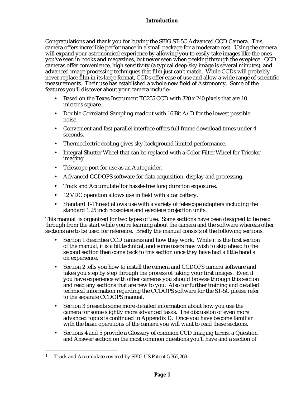## **Introduction**

Congratulations and thank you for buying the SBIG ST-5C Advanced CCD Camera. This camera offers incredible performance in a small package for a moderate cost. Using the camera will expand your astronomical experience by allowing you to easily take images like the ones you've seen in books and magazines, but never seen when peeking through the eyepiece. CCD cameras offer convenience, high sensitivity (a typical deep-sky image is several minutes), and advanced image processing techniques that film just can't match. While CCDs will probably never replace film in its large format, CCDs offer ease of use and allow a wide range of scientific measurements. Their use has established a whole new field of Astronomy. Some of the features you'll discover about your camera include:

- Based on the Texas Instrument TC255 CCD with 320 x 240 pixels that are 10 microns square.
- Double Correlated Sampling readout with 16 Bit A/D for the lowest possible noise.
- Convenient and fast parallel interface offers full frame download times under 4 seconds.
- Thermoelectric cooling gives sky background limited performance.
- Integral Shutter Wheel that can be replaced with a Color Filter Wheel for Tricolor imaging.
- Telescope port for use as an Autoguider.
- Advanced CCDOPS software for data acquisition, display and processing.
- Track and Accumulate<sup>1</sup> for hassle-free long duration exposures.
- 12 VDC operation allows use in field with a car battery.
- Standard T-Thread allows use with a variety of telescope adapters including the standard 1.25 inch nosepiece and eyepiece projection units.

This manual is organized for two types of use. Some sections have been designed to be read through from the start while you're learning about the camera and the software whereas other sections are to be used for reference. Briefly the manual consists of the following sections:

- Section 1 describes CCD cameras and how they work. While it is the first section of the manual, it is a bit technical, and some users may wish to skip ahead to the second section then come back to this section once they have had a little hand's on experience.
- Section 2 tells you how to install the camera and CCDOPS camera software and takes you step by step through the process of taking your first images. Even if you have experience with other cameras you should browse through this section and read any sections that are new to you. Also for further training and detailed technical information regarding the CCDOPS software for the ST-5C please refer to the separate CCDOPS manual.
- Section 3 presents some more detailed information about how you use the camera for some slightly more advanced tasks. The discussion of even more advanced topics is continued in Appendix D. Once you have become familiar with the basic operations of the camera you will want to read these sections.
- Sections 4 and 5 provide a Glossary of common CCD imaging terms, a Question and Answer section on the most common questions you'll have and a section of

1

<sup>1</sup> Track and Accumulate covered by SBIG US Patent 5,365,269.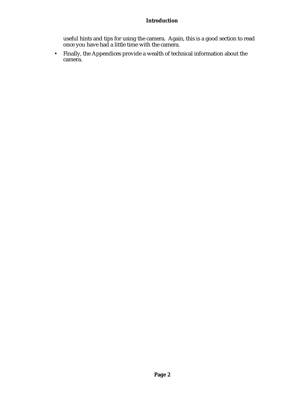## **Introduction**

useful hints and tips for using the camera. Again, this is a good section to read once you have had a little time with the camera.

• Finally, the Appendices provide a wealth of technical information about the camera.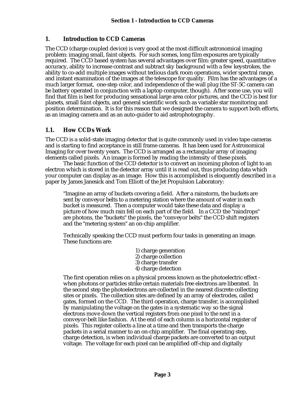## **1. Introduction to CCD Cameras**

The CCD (charge coupled device) is very good at the most difficult astronomical imaging problem: imaging small, faint objects. For such scenes, long film exposures are typically required. The CCD based system has several advantages over film: greater speed, quantitative accuracy, ability to increase contrast and subtract sky background with a few keystrokes, the ability to co-add multiple images without tedious dark room operations, wider spectral range, and instant examination of the images at the telescope for quality. Film has the advantages of a much larger format, one-step color, and independence of the wall plug (the ST-5C camera can be battery operated in conjunction with a laptop computer, though). After some use, you will find that film is best for producing sensational large area color pictures, and the CCD is best for planets, small faint objects, and general scientific work such as variable star monitoring and position determination. It is for this reason that we designed the camera to support both efforts, as an imaging camera and as an auto-guider to aid astrophotography.

## **1.1. How CCDs Work**

The CCD is a solid-state imaging detector that is quite commonly used in video tape cameras and is starting to find acceptance in still frame cameras. It has been used for Astronomical Imaging for over twenty years. The CCD is arranged as a rectangular array of imaging elements called pixels. An image is formed by reading the intensity of these pixels.

The basic function of the CCD detector is to convert an incoming photon of light to an electron which is stored in the detector array until it is read out, thus producing data which your computer can display as an image. How this is accomplished is eloquently described in a paper by James Janesick and Tom Elliott of the Jet Propulsion Laboratory:

"Imagine an array of buckets covering a field. After a rainstorm, the buckets are sent by conveyor belts to a metering station where the amount of water in each bucket is measured. Then a computer would take these data and display a picture of how much rain fell on each part of the field. In a CCD the "raindrops" are photons, the "buckets" the pixels, the "conveyor belts" the CCD shift registers and the "metering system" an on-chip amplifier.

Technically speaking the CCD must perform four tasks in generating an image. These functions are:

- 1) charge generation
- 2) charge collection
- 3) charge transfer
- 4) charge detection

The first operation relies on a physical process known as the photoelectric effect when photons or particles strike certain materials free electrons are liberated. In the second step the photoelectrons are collected in the nearest discrete collecting sites or pixels. The collection sites are defined by an array of electrodes, called gates, formed on the CCD. The third operation, charge transfer, is accomplished by manipulating the voltage on the gates in a systematic way so the signal electrons move down the vertical registers from one pixel to the next in a conveyor-belt like fashion. At the end of each column is a horizontal register of pixels. This register collects a line at a time and then transports the charge packets in a serial manner to an on-chip amplifier. The final operating step, charge detection, is when individual charge packets are converted to an output voltage. The voltage for each pixel can be amplified off-chip and digitally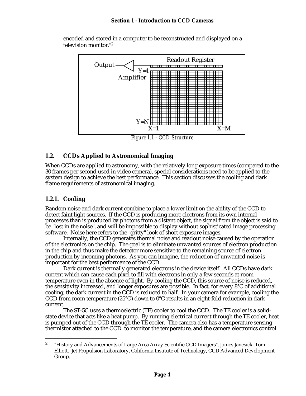

encoded and stored in a computer to be reconstructed and displayed on a television monitor."<sup>2</sup>

## **1.2. CCDs Applied to Astronomical Imaging**

When CCDs are applied to astronomy, with the relatively long exposure times (compared to the 30 frames per second used in video camera), special considerations need to be applied to the system design to achieve the best performance. This section discusses the cooling and dark frame requirements of astronomical imaging.

# **1.2.1. Cooling**

Random noise and dark current combine to place a lower limit on the ability of the CCD to detect faint light sources. If the CCD is producing more electrons from its own internal processes than is produced by photons from a distant object, the signal from the object is said to be "lost in the noise", and will be impossible to display without sophisticated image processing software. Noise here refers to the "gritty" look of short exposure images.

Internally, the CCD generates thermal noise and readout noise caused by the operation of the electronics on the chip. The goal is to eliminate unwanted sources of electron production in the chip and thus make the detector more sensitive to the remaining source of electron production by incoming photons. As you can imagine, the reduction of unwanted noise is important for the best performance of the CCD.

Dark current is thermally generated electrons in the device itself. All CCDs have dark current which can cause each pixel to fill with electrons in only a few seconds at room temperature even in the absence of light. By cooling the CCD, this source of noise is reduced, the sensitivity increased, and longer exposures are possible. In fact, for every 8°C of additional cooling, the dark current in the CCD is reduced to half. In your camera for example, cooling the CCD from room temperature (25°C) down to 0°C results in an eight-fold reduction in dark current.

The ST-5C uses a thermoelectric (TE) cooler to cool the CCD. The TE cooler is a solidstate device that acts like a heat pump. By running electrical current through the TE cooler, heat is pumped out of the CCD through the TE cooler. The camera also has a temperature sensing thermistor attached to the CCD to monitor the temperature, and the camera electronics control

<sup>1</sup> <sup>2</sup> "History and Advancements of Large Area Array Scientific CCD Imagers", James Janesick, Tom Elliott. Jet Propulsion Laboratory, California Institute of Technology, CCD Advanced Development Group.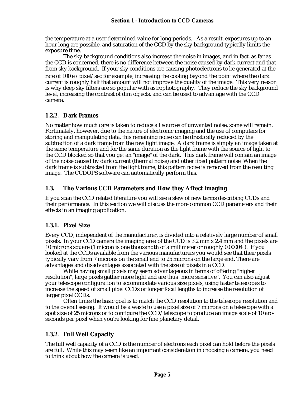the temperature at a user determined value for long periods. As a result, exposures up to an hour long are possible, and saturation of the CCD by the sky background typically limits the exposure time.

The sky background conditions also increase the noise in images, and in fact, as far as the CCD is concerned, there is no difference between the noise caused by dark current and that from sky background. If your sky conditions are causing photoelectrons to be generated at the rate of 100 e<sup>-</sup>/pixel/sec for example, increasing the cooling beyond the point where the dark current is roughly half that amount will not improve the quality of the image. This very reason is why deep sky filters are so popular with astrophotography. They reduce the sky background level, increasing the contrast of dim objects, and can be used to advantage with the CCD camera.

## **1.2.2. Dark Frames**

No matter how much care is taken to reduce all sources of unwanted noise, some will remain. Fortunately, however, due to the nature of electronic imaging and the use of computers for storing and manipulating data, this remaining noise can be drastically reduced by the subtraction of a dark frame from the raw light image. A dark frame is simply an image taken at the same temperature and for the same duration as the light frame with the source of light to the CCD blocked so that you get an "image" of the dark. This dark frame will contain an image of the noise caused by dark current (thermal noise) and other fixed pattern noise When the dark frame is subtracted from the light frame, this pattern noise is removed from the resulting image. The CCDOPS software can automatically perform this.

# **1.3. The Various CCD Parameters and How they Affect Imaging**

If you scan the CCD related literature you will see a slew of new terms describing CCDs and their performance. In this section we will discuss the more common CCD parameters and their effects in an imaging application.

# **1.3.1. Pixel Size**

Every CCD, independent of the manufacturer, is divided into a relatively large number of small pixels. In your CCD camera the imaging area of the CCD is 3.2 mm x 2.4 mm and the pixels are 10 microns square (1 micron is one thousandth of a millimeter or roughly 0.00004"). If you looked at the CCDs available from the various manufacturers you would see that their pixels typically vary from 7 microns on the small end to 25 microns on the large end. There are advantages and disadvantages associated with the size of pixels in a CCD.

While having small pixels may seem advantageous in terms of offering "higher resolution", large pixels gather more light and are thus "more sensitive". You can also adjust your telescope configuration to accommodate various size pixels, using faster telescopes to increase the speed of small pixel CCDs or longer focal lengths to increase the resolution of larger pixel CCDs.

Often times the basic goal is to match the CCD resolution to the telescope resolution and to the overall seeing. It would be a waste to use a pixel size of 7 microns on a telescope with a spot size of 25 microns or to configure the CCD/telescope to produce an image scale of 10 arcseconds per pixel when you're looking for fine planetary detail.

# **1.3.2. Full Well Capacity**

The full well capacity of a CCD is the number of electrons each pixel can hold before the pixels are full. While this may seem like an important consideration in choosing a camera, you need to think about how the camera is used.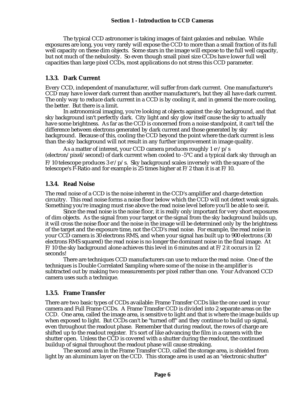The typical CCD astronomer is taking images of faint galaxies and nebulae. While exposures are long, you very rarely will expose the CCD to more than a small fraction of its full well capacity on these dim objects. Some stars in the image will expose to the full well capacity, but not much of the nebulosity. So even though small pixel size CCDs have lower full well capacities than large pixel CCDs, most applications do not stress this CCD parameter.

## **1.3.3. Dark Current**

Every CCD, independent of manufacturer, will suffer from dark current. One manufacturer's CCD may have lower dark current than another manufacturer's, but they all have dark current. The only way to reduce dark current in a CCD is by cooling it, and in general the more cooling, the better. But there is a limit.

In astronomical imaging, you're looking at objects against the sky background, and that sky background isn't perfectly dark. City light and sky glow itself cause the sky to actually have some brightness. As far as the CCD is concerned from a noise standpoint, it can't tell the difference between electrons generated by dark current and those generated by sky background. Because of this, cooling the CCD beyond the point where the dark current is less than the sky background will not result in any further improvement in image quality.

As a matter of interest, your CCD camera produces roughly  $1 e^-/p/s$ (electron/pixel/second) of dark current when cooled to  $-5^{\circ}$ C and a typical dark sky through an  $F/10$  telescope produces 3 e $p/$ s. Sky background scales inversely with the square of the telescope's F-Ratio and for example is 25 times higher at F/2 than it is at F/10.

## **1.3.4. Read Noise**

The read noise of a CCD is the noise inherent in the CCD's amplifier and charge detection circuitry. This read noise forms a noise floor below which the CCD will not detect weak signals. Something you're imaging must rise above the read noise level before you'll be able to see it.

Since the read noise is the noise floor, it is really only important for very short exposures of dim objects. As the signal from your target or the signal from the sky background builds up, it will cross the noise floor and the noise in the image will be determined only by the brightness of the target and the exposure time, not the CCD's read noise. For example, the read noise in your CCD camera is 30 electrons RMS, and when your signal has built up to 900 electrons (30 electrons RMS squared) the read noise is no longer the dominant noise in the final image. At  $F/10$  the sky background alone achieves this level in 6 minutes and at  $F/2$  it occurs in 12 seconds!

There are techniques CCD manufacturers can use to reduce the read noise. One of the techniques is Double Correlated Sampling where some of the noise in the amplifier is subtracted out by making two measurements per pixel rather than one. Your Advanced CCD camera uses such a technique.

## **1.3.5. Frame Transfer**

There are two basic types of CCDs available: Frame Transfer CCDs like the one used in your camera and Full Frame CCDs. A Frame Transfer CCD is divided into 2 separate areas on the CCD. One area, called the image area, is sensitive to light and that is where the image builds up when exposed to light. But CCDs can't be "turned off" and they continue to build up signal, even throughout the readout phase. Remember that during readout, the rows of charge are shifted up to the readout register. It's sort of like advancing the film in a camera with the shutter open. Unless the CCD is covered with a shutter during the readout, the continued buildup of signal throughout the readout phase will cause streaking.

The second area in the Frame Transfer CCD, called the storage area, is shielded from light by an aluminum layer on the CCD. This storage area is used as an "electronic shutter"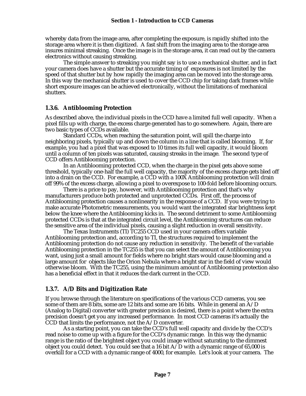whereby data from the image area, after completing the exposure, is rapidly shifted into the storage area where it is then digitized. A fast shift from the imaging area to the storage area insures minimal streaking. Once the image is in the storage area, it can read out by the camera electronics without causing streaking.

The simple answer to streaking you might say is to use a mechanical shutter, and in fact your camera does have a shutter but the accurate timing of exposures is not limited by the speed of that shutter but by how rapidly the imaging area can be moved into the storage area. In this way the mechanical shutter is used to cover the CCD chip for taking dark frames while short exposure images can be achieved electronically, without the limitations of mechanical shutters.

## **1.3.6. Antiblooming Protection**

As described above, the individual pixels in the CCD have a limited full well capacity. When a pixel fills up with charge, the excess charge generated has to go somewhere. Again, there are two basic types of CCDs available.

Standard CCDs, when reaching the saturation point, will spill the charge into neighboring pixels, typically up and down the column in a line that is called blooming. If, for example, you had a pixel that was exposed to 10 times its full well capacity, it would bloom until a column of ten pixels was saturated, causing streaks in the image. The second type of CCD offers Antiblooming protection.

In an Antiblooming protected CCD, when the charge in the pixel gets above some threshold, typically one-half the full well capacity, the majority of the excess charge gets bled off into a drain on the CCD. For example, a CCD with a 100X Antiblooming protection will drain off 99% of the excess charge, allowing a pixel to overexpose to 100-fold before blooming occurs.

There is a price to pay, however, with Antiblooming protection and that's why manufacturers produce both protected and unprotected CCDs. First off, the process of Antiblooming protection causes a nonlinearity in the response of a CCD. If you were trying to make accurate Photometric measurements, you would want the integrated star brightness kept below the knee where the Antiblooming kicks in. The second detriment to some Antiblooming protected CCDs is that at the integrated circuit level, the Antiblooming structures can reduce the sensitive area of the individual pixels, causing a slight reduction in overall sensitivity.

The Texas Instruments (TI) TC255 CCD used in your camera offers variable Antiblooming protection and, according to TI, the structures required to implement the Antiblooming protection do not cause any reduction in sensitivity. The benefit of the variable Antiblooming protection in the TC255 is that you can select the amount of Antiblooming you want, using just a small amount for fields where no bright stars would cause blooming and a large amount for objects like the Orion Nebula where a bright star in the field of view would otherwise bloom. With the TC255, using the minimum amount of Antiblooming protection also has a beneficial effect in that it reduces the dark current in the CCD.

## **1.3.7. A/D Bits and Digitization Rate**

If you browse through the literature on specifications of the various CCD cameras, you see some of them are 8 bits, some are 12 bits and some are 16 bits. While in general an  $\overline{A/D}$ (Analog to Digital) converter with greater precision is desired, there is a point where the extra precision doesn't get you any increased performance. In most CCD cameras it's actually the CCD that limits the performance, not the A/D converter.

As a starting point, you can take the CCD's full well capacity and divide by the CCD's read noise to come up with a figure for the CCD's dynamic range. In this way the dynamic range is the ratio of the brightest object you could image without saturating to the dimmest object you could detect. You could see that a 16 bit  $A/D$  with a dynamic range of 65,000 is overkill for a CCD with a dynamic range of 4000, for example. Let's look at your camera. The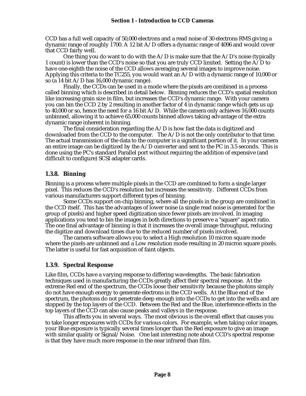CCD has a full well capacity of 50,000 electrons and a read noise of 30 electrons RMS giving a dynamic range of roughly 1700. A 12 bit A/D offers a dynamic range of 4096 and would cover that CCD fairly well.

One thing you do want to do with the  $A/D$  is make sure that the  $A/D$ 's noise (typically 1 count) is lower than the CCD's noise so that you are truly CCD limited. Setting the A/D to have one-eighth the noise of the CCD allows averaging several images to improve noise. Applying this criteria to the TC255, you would want an A/D with a dynamic range of 10,000 or so (a 14 bit  $A/D$  has 16,000 dynamic range).

Finally, the CCDs can be used in a mode where the pixels are combined in a process called binning which is described in detail below. Binning reduces the CCD's spatial resolution like increasing grain size in film, but increases the CCD's dynamic range. With your camera you can bin the CCD 2 by 2 resulting in another factor of 4 in dynamic range which gets us up to 40,000 or so, hence the need for a 16 bit  $A/D$ . While the camera only achieves 16,000 counts unbinned, allowing it to achieve 65,000 counts binned allows taking advantage of the extra dynamic range inherent in binning.

The final consideration regarding the  $A/D$  is how fast the data is digitized and downloaded from the CCD to the computer. The A/D is not the only contributor to that time. The actual transmission of the data to the computer is a significant portion of it. In your camera an entire image can be digitized by the  $A/D$  converter and sent to the PC in 3.5 seconds. This is done using the PC's standard Parallel port without requiring the addition of expensive (and difficult to configure) SCSI adapter cards.

## **1.3.8. Binning**

Binning is a process where multiple pixels in the CCD are combined to form a single larger pixel. This reduces the CCD's resolution but increases the sensitivity. Different CCDs from various manufacturers support different types of binning.

Some CCDs support on-chip binning, where all the pixels in the group are combined in the CCD itself. This has the advantages of lower noise (a single read noise is generated for the group of pixels) and higher speed digitization since fewer pixels are involved. In imaging applications you tend to bin the images in both directions to preserve a "square" aspect ratio. The one final advantage of binning is that it increases the overall image throughput, reducing the digitize and download times due to the reduced number of pixels involved.

The camera software allows you to select a High resolution 10 micron square mode where the pixels are unbinned and a Low resolution mode resulting in 20 micron square pixels. The latter is useful for fast acquisition of faint objects.

## **1.3.9. Spectral Response**

Like film, CCDs have a varying response to differing wavelengths. The basic fabrication techniques used in manufacturing the CCDs greatly affect their spectral response. At the extreme Red end of the spectrum, the CCDs loose their sensitivity because the photons simply do not have enough energy to generate electrons in the CCD wells. At the Blue end of the spectrum, the photons do not penetrate deep enough into the CCDs to get into the wells and are stopped by the top layers of the CCD. Between the Red and the Blue, interference effects in the top layers of the CCD can also cause peaks and valleys in the response.

This affects you in several ways. The most obvious is the overall effect that causes you to take longer exposures with CCDs for various colors. For example, when taking color images, your Blue exposure is typically several times longer than the Red exposure to give an image with similar quality or Signal/Noise. One last interesting note about CCD's spectral response is that they have much more response in the near infrared than film.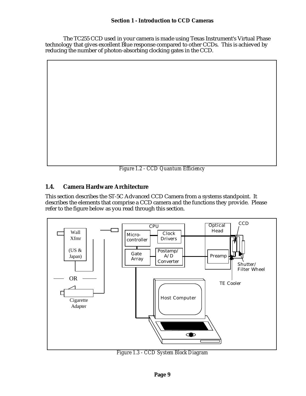The TC255 CCD used in your camera is made using Texas Instrument's Virtual Phase technology that gives excellent Blue response compared to other CCDs. This is achieved by reducing the number of photon-absorbing clocking gates in the CCD.

*Figure 1.2 - CCD Quantum Efficiency*

# **1.4. Camera Hardware Architecture**

This section describes the ST-5C Advanced CCD Camera from a systems standpoint. It describes the elements that comprise a CCD camera and the functions they provide. Please refer to the figure below as you read through this section.



*Figure 1.3 - CCD System Block Diagram*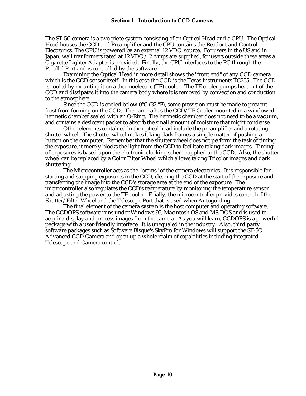The ST-5C camera is a two piece system consisting of an Optical Head and a CPU. The Optical Head houses the CCD and Preamplifier and the CPU contains the Readout and Control Electronics. The CPU is powered by an external 12 VDC source. For users in the US and in Japan, wall tranformers rated at 12 VDC  $\neq$  2 Amps are supplied, for users outside these areas a Cigarette Lighter Adapter is provided. Finally, the CPU interfaces to the PC through the Parallel Port and is controlled by the software.

Examining the Optical Head in more detail shows the "front end" of any CCD camera which is the CCD sensor itself. In this case the CCD is the Texas Instruments TC255. The CCD is cooled by mounting it on a thermoelectric (TE) cooler. The TE cooler pumps heat out of the CCD and dissipates it into the camera body where it is removed by convection and conduction to the atmosphere.

Since the CCD is cooled below  $0^{\circ}$ C (32  $^{\circ}$ F), some provision must be made to prevent frost from forming on the CCD. The camera has the CCD/TE Cooler mounted in a windowed hermetic chamber sealed with an O-Ring. The hermetic chamber does not need to be a vacuum, and contains a desiccant packet to absorb the small amount of moisture that might condense.

Other elements contained in the optical head include the preamplifier and a rotating shutter wheel. The shutter wheel makes taking dark frames a simple matter of pushing a button on the computer. Remember that the shutter wheel does not perform the task of timing the exposure, it merely blocks the light from the CCD to facilitate taking dark images. Timing of exposures is based upon the electronic clocking scheme applied to the CCD. Also, the shutter wheel can be replaced by a Color Filter Wheel which allows taking Tricolor images and dark shuttering.

The Microcontroller acts as the "brains" of the camera electronics. It is responsible for starting and stopping exposures in the CCD, clearing the CCD at the start of the exposure and transferring the image into the CCD's storage area at the end of the exposure. The microcontroller also regulates the CCD's temperature by monitoring the temperature sensor and adjusting the power to the TE cooler. Finally, the microcontroller provides control of the Shutter/Filter Wheel and the Telescope Port that is used when Autoguiding.

The final element of the camera system is the host computer and operating software. The CCDOPS software runs under Windows 95, Macintosh OS and MS-DOS and is used to acquire, display and process images from the camera. As you will learn, CCDOPS is a powerful package with a user-friendly interface. It is unequaled in the industry. Also, third party software packages such as Software Bisque's SkyPro for Windows will support the ST-5C Advanced CCD Camera and open up a whole realm of capabilities including integrated Telescope and Camera control.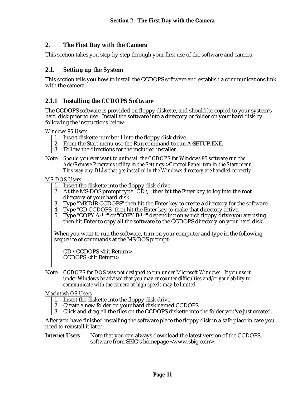## **2. The First Day with the Camera**

This section takes you step-by-step through your first use of the software and camera.

## **2.1. Setting up the System**

This section tells you how to install the CCDOPS software and establish a communications link with the camera.

## **2.1.1 Installing the CCDOPS Software**

The CCDOPS software is provided on floppy diskette, and should be copied to your system's hard disk prior to use. Install the software into a directory or folder on your hard disk by following the instructions below:

*Windows 95 Users*

- 1. Insert diskette number 1 into the floppy disk drive.
- 2. From the Start menu use the Run command to run A:SETUP.EXE.
- 3. Follow the directions for the included installer.
- Note: *Should you ever want to uninstall the CCDOPS for Windows 95 software run the Add/Remove Programs utility in the Settings->Control Panel item in the Start menu. This way any DLLs that get installed in the Windows directory are handled correctly.*

*MS-DOS Users*

- 1. Insert the diskette into the floppy disk drive.
- 2. At the MS-DOS prompt type "CD  $\vee$ " then hit the Enter key to log into the root directory of your hard disk.
- 3. Type "MKDIR CCDOPS" then hit the Enter key to create a directory for the software.
- 4. Type "CD CCDOPS" then hit the Enter key to make that directory active.
- 5. Type "COPY A:\*.\*" or "COPY B:\*.\*" depending on which floppy drive you are using then hit Enter to copy all the software to the CCDOPS directory on your hard disk.

When you want to run the software, turn on your computer and type in the following sequence of commands at the MS-DOS prompt:

CD \CCDOPS <hit Return> CCDOPS <hit Return>

Note: *CCDOPS for DOS was not designed to run under Microsoft Windows. If you use it under Windows be advised that you may encounter difficulties and/or your ability to communicate with the camera at high speeds may be limited.*

#### *Macintosh OS Users*

- 1. Insert the diskette into the floppy disk drive.
- 2. Create a new folder on your hard disk named CCDOPS.
- 3. Click and drag all the files on the CCDOPS diskette into the folder you've just created.

After you have finished installing the software place the floppy disk in a safe place in case you need to reinstall it later.

#### **Internet Users** Note that you can always download the latest version of the CCDOPS software from SBIG's homepage <www.sbig.com>.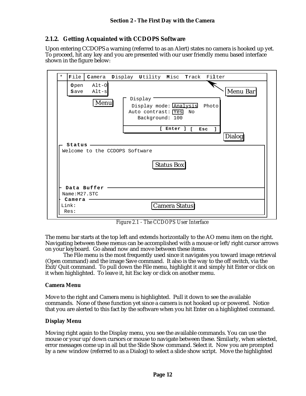## **2.1.2. Getting Acquainted with CCDOPS Software**

Upon entering CCDOPS a warning (referred to as an Alert) states no camera is hooked up yet. To proceed, hit any key and you are presented with our user friendly menu based interface shown in the figure below:

| File<br><b>Open</b><br>Save | $Alt-O$<br>$Alt-s$             |  | Camera Display Utility Misc Track Filter                |                 |              |       | Menu Bar      |
|-----------------------------|--------------------------------|--|---------------------------------------------------------|-----------------|--------------|-------|---------------|
|                             | Menu                           |  | Display<br>Display mode: Analysis<br>Auto contrast: Yes | Background: 100 | No           | Photo |               |
|                             |                                |  |                                                         | r.<br>Enter ]   | $\mathsf{L}$ | Esc   | <b>Dialog</b> |
| Status                      | Welcome to the CCDOPS Software |  |                                                         |                 |              |       |               |
|                             |                                |  |                                                         | Status Box      |              |       |               |
| Name: M27.STC               | Data Buffer                    |  |                                                         |                 |              |       |               |
| Camera<br>Link:             |                                |  |                                                         | Camera Status   |              |       |               |

*Figure 2.1 - The CCDOPS User Interface*

The menu bar starts at the top left and extends horizontally to the AO menu item on the right. Navigating between these menus can be accomplished with a mouse or left/right cursor arrows on your keyboard. Go ahead now and move between these items.

The File menu is the most frequently used since it navigates you toward image retrieval (Open command) and the image Save command. It also is the way to the off switch, via the Exit/Quit command. To pull down the File menu, highlight it and simply hit Enter or click on it when highlighted. To leave it, hit Esc key or click on another menu.

## **Camera Menu**

Move to the right and Camera menu is highlighted. Pull it down to see the available commands. None of these function yet since a camera is not hooked up or powered. Notice that you are alerted to this fact by the software when you hit Enter on a highlighted command.

## **Display Menu**

Moving right again to the Display menu, you see the available commands. You can use the mouse or your up/down cursors or mouse to navigate between these. Similarly, when selected, error messages come up in all but the Slide Show command. Select it. Now you are prompted by a new window (referred to as a Dialog) to select a slide show script. Move the highlighted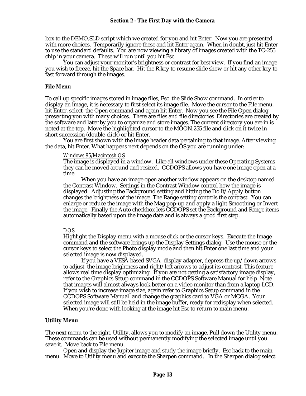box to the DEMO.SLD script which we created for you and hit Enter. Now you are presented with more choices. Temporarily ignore these and hit Enter again. When in doubt, just hit Enter to use the standard defaults. You are now viewing a library of images created with the TC-255 chip in your camera. These will run until you hit Esc.

You can adjust your monitor's brightness or contrast for best view. If you find an image you wish to freeze, hit the Space bar. Hit the R key to resume slide show or hit any other key to fast forward through the images.

#### **File Menu**

To call up specific images stored in image files, Esc the Slide Show command. In order to display an image, it is necessary to first select its image file. Move the cursor to the File menu, hit Enter, select the Open command and again hit Enter. Now you see the File Open dialog presenting you with many choices. There are files and file directories Directories are created by the software and later by you to organize and store images. The current directory you are in is noted at the top. Move the highlighted cursor to the MOON.255 file and click on it twice in short succession (double-click) or hit Enter.

You are first shown with the image header data pertaining to that image. After viewing the data, hit Enter. What happens next depends on the OS you are running under:

## *Windows 95/Macintosh OS*

The image is displayed in a window. Like all windows under these Operating Systems they can be moved around and resized. CCDOPS allows you have one image open at a time.

When you have an image open another window appears on the desktop named the Contrast Window. Settings in the Contrast Window control how the image is displayed. Adjusting the Background setting and hitting the Do It/Apply button changes the brightness of the image. The Range setting controls the contrast. You can enlarge or reduce the image with the Mag pop-up and apply a light Smoothing or Invert the image. Finally the Auto checkbox lets CCDOPS set the Background and Range items automatically based upon the image data and is always a good first step.

#### *DOS*

Highlight the Display menu with a mouse click or the cursor keys. Execute the Image command and the software brings up the Display Settings dialog. Use the mouse or the cursor keys to select the Photo display mode and then hit Enter one last time and your selected image is now displayed.

If you have a VESA based SVGA display adapter, depress the up/down arrows to adjust the image brightness and right/left arrows to adjust its contrast. This feature allows real time display optimizing. If you are not getting a satisfactory image display, refer to the Graphics Setup command in the CCDOPS Software Manual for help. Note that images will almost always look better on a video monitor than from a laptop LCD. If you wish to increase image size, again refer to Graphics Setup command in the CCDOPS Software Manual and change the graphics card to VGA or MCGA. Your selected image will still be held in the image buffer, ready for redisplay when selected. When you're done with looking at the image hit Esc to return to main menu.

#### **Utility Menu**

The next menu to the right, Utility, allows you to modify an image. Pull down the Utility menu. These commands can be used without permanently modifying the selected image until you save it. Move back to File menu.

Open and display the Jupiter image and study the image briefly. Esc back to the main menu. Move to Utility menu and execute the Sharpen command. In the Sharpen dialog select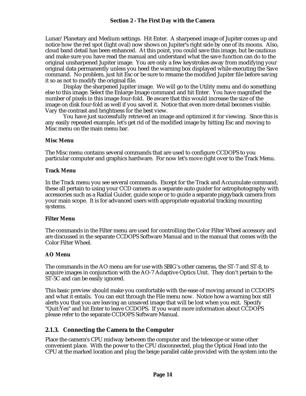Lunar/Planetary and Medium settings. Hit Enter. A sharpened image of Jupiter comes up and notice how the red spot (light oval) now shows on Jupiter's right side by one of its moons. Also, cloud band detail has been enhanced. At this point, you could save this image, but be cautious and make sure you have read the manual and understand what the save function can do to the original unsharpened Jupiter image. You are only a few keystrokes away from modifying your original data permanently unless you heed the warning box displayed while executing the Save command. No problem, just hit Esc or be sure to rename the modified Jupiter file before saving it so as not to modify the original file.

Display the sharpened Jupiter image. We will go to the Utility menu and do something else to this image. Select the Enlarge Image command and hit Enter. You have magnified the number of pixels in this image four-fold. Be aware that this would increase the size of the image on disk four-fold as well if you saved it. Notice that even more detail becomes visible. Vary the contrast and brightness for the best view.

You have just successfully retrieved an image and optimized it for viewing. Since this is any easily repeated example, let's get rid of the modified image by hitting Esc and moving to Misc menu on the main menu bar.

#### **Misc Menu**

The Misc menu contains several commands that are used to configure CCDOPS to you particular computer and graphics hardware. For now let's move right over to the Track Menu.

#### **Track Menu**

In the Track menu you see several commands. Except for the Track and Accumulate command, these all pertain to using your CCD camera as a separate auto guider for astrophotography with accessories such as a Radial Guider, guide scope or to guide a separate piggyback camera from your main scope. It is for advanced users with appropriate equatorial tracking mounting systems.

## **Filter Menu**

The commands in the Filter menu are used for controlling the Color Filter Wheel accessory and are discussed in the separate CCDOPS Software Manual and in the manual that comes with the Color Filter Wheel.

## **AO Menu**

The commands in the AO menu are for use with SBIG's other cameras, the ST-7 and ST-8, to acquire images in conjunction with the AO-7 Adaptive Optics Unit. They don't pertain to the ST-5C and can be easily ignored.

This basic preview should make you comfortable with the ease of moving around in CCDOPS and what it entails. You can exit through the File menu now. Notice how a warning box still alerts you that you are leaving an unsaved image that will be lost when you exit. Specify "Quit:Yes" and hit Enter to leave CCDOPS. If you want more information about CCDOPS please refer to the separate CCDOPS Software Manual.

## **2.1.3. Connecting the Camera to the Computer**

Place the camera's CPU midway between the computer and the telescope or some other convenient place. With the power to the CPU disconnected, plug the Optical Head into the CPU at the marked location and plug the beige parallel cable provided with the system into the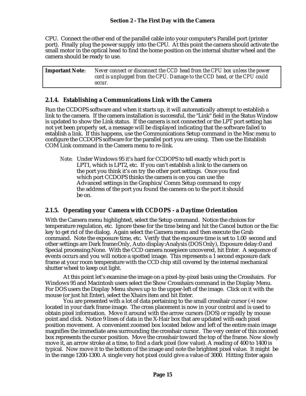CPU. Connect the other end of the parallel cable into your computer's Parallel port (printer port). Finally plug the power supply into the CPU. At this point the camera should activate the small motor in the optical head to find the home position on the internal shutter wheel and the camera should be ready to use.

| <b>Important Note:</b> | Never connect or disconnect the CCD head from the CPU box unless the power |
|------------------------|----------------------------------------------------------------------------|
|                        | cord is unplugged from the CPU. Damage to the CCD head, or the CPU could   |
|                        | occur.                                                                     |

## **2.1.4. Establishing a Communications Link with the Camera**

Run the CCDOPS software and when it starts up, it will automatically attempt to establish a link to the camera. If the camera installation is successful, the "Link" field in the Status Window is updated to show the Link status. If the camera is not connected or the LPT port setting has not yet been properly set, a message will be displayed indicating that the software failed to establish a link. If this happens, use the Communications Setup command in the Misc menu to configure the CCDOPS software for the parallel port you are using. Then use the Establish COM Link command in the Camera menu to re-link.

*Note*: Under Windows 95 it's hard for CCDOPS to tell exactly which port is LPT1, which is LPT2, etc. If you can't establish a link to the camera on the port you think it's on try the other port settings. Once you find which port CCDOPS thinks the camera is on you can use the Advanced settings in the Graphics/Comm Setup command to copy the address of the port you found the camera on to the port it should be on.

## **2.1.5. Operating your Camera with CCDOPS - a Daytime Orientation**

With the Camera menu highlighted, select the Setup command. Notice the choices for temperature regulation, etc. Ignore these for the time being and hit the Cancel button or the Esc key to get rid of the dialog. Again select the Camera menu and then execute the Grab command. Note the exposure time, etc. Verify that the exposure time is set to 1.00 second and other settings are Dark frame:Only, Auto display:Analysis (DOS Only), Exposure delay:0 and Special processing:None. With the CCD camera nosepiece uncovered, hit Enter. A sequence of events occurs and you will notice a spotted image. This represents a 1 second exposure dark frame at your room temperature with the CCD chip still covered by the internal mechanical shutter wheel to keep out light.

At this point let's examine the image on a pixel-by-pixel basis using the Crosshairs. For Windows 95 and Macintosh users select the Show Crosshairs command in the Display Menu. For DOS users the Display Menu shows up to the upper-left of the image. Click on it with the mouse (or just hit Enter), select the Xhairs item and hit Enter.

You are presented with a lot of data pertaining to the small crosshair cursor (+) now located in your dark frame image. The cross placement is now in your control and is used to obtain pixel information. Move it around with the arrow cursors (DOS) or rapidly by mouse point and click. Notice 9 lines of data in the X-Hair box that are updated with each pixel position movement. A convenient zoomed box located below and left of the entire main image magnifies the immediate area surrounding the crosshair cursor. The very center of this zoomed box represents the cursor position. Move the crosshair toward the top of the frame. Now slowly move it, an arrow stroke at a time, to find a dark pixel (low value). A reading of 400 to 1400 is typical. Now move it to the bottom of the image and note the brightest pixel value. It might be in the range 1200-1300. A single very hot pixel could give a value of 3000. Hitting Enter again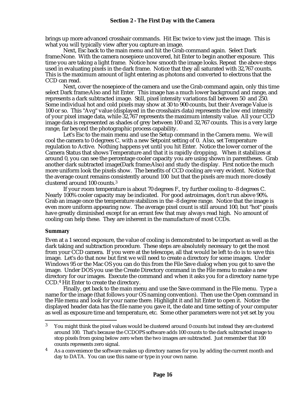brings up more advanced crosshair commands. Hit Esc twice to view just the image. This is what you will typically view after you capture an image.

Next, Esc back to the main menu and hit the Grab command again. Select Dark frame:None. With the camera nosepiece uncovered, hit Enter to begin another exposure. This time you are taking a light frame. Notice how smooth the image looks. Repeat the above steps used in evaluating pixels in the dark frame. Notice that they all saturated with 32,767 counts. This is the maximum amount of light entering as photons and converted to electrons that the CCD can read.

Next, cover the nosepiece of the camera and use the Grab command again, only this time select Dark frame:Also and hit Enter. This image has a much lower background and range, and represents a dark subtracted image. Still, pixel intensity variations fall between 50 and 250. Some individual hot and cold pixels may show at 30 to 900 counts, but their Average Value is 100 or so. This "Avg" value (displayed in the crosshairs data) represents the low end intensity of your pixel image data, while 32,767 represents the maximum intensity value. All your CCD image data is represented as shades of grey between 100 and 32,767 counts. This is a very large range, far beyond the photographic process capability.

Let's Esc to the main menu and use the Setup command in the Camera menu. We will cool the camera to 0 degrees C. with a new Setpoint setting of 0. Also, set Temperature regulation to Active. Nothing happens yet until you hit Enter. Notice the lower corner of the Camera Status that shows Temperature and that it is rapidly dropping. When it stabilizes at around 0, you can see the percentage cooler capacity you are using shown in parentheses. Grab another dark subtracted image(Dark frame:Also) and study the display. First notice the much more uniform look the pixels show. The benefits of CCD cooling are very evident. Notice that the average count remains consistently around 100 but that the pixels are much more closely clustered around 100 counts.<sup>3</sup>

If your room temperature is about 70 degrees F., try further cooling to -8 degrees C. Nearly 100% cooler capacity may be indicated. For good astroimages, don't run above 90%. Grab an image once the temperature stabilizes in the -8 degree range. Notice that the image is even more uniform appearing now. The average pixel count is still around 100, but "hot" pixels have greatly diminished except for an errant few that may always read high. No amount of cooling can help these. They are inherent in the manufacture of most CCDs.

#### **Summary**

l

Even at a 1 second exposure, the value of cooling is demonstrated to be important as well as the dark taking and subtraction procedure. These steps are absolutely necessary to get the most from your CCD camera. If you were at the telescope, all that would be left to do is to save this image. Let's do that now but first we will need to create a directory for some images. Under Windows 95 or the Mac OS you can do this from the File Save dialog when you got to save the image. Under DOS you use the Create Directory command in the File menu to make a new directory for our images. Execute the command and when it asks you for a directory name type CCD.4 Hit Enter to create the directory.

Finally, get back to the main menu and use the Save command in the File menu. Type a name for the image (that follows your OS naming convention). Then use the Open command in the File menu and look for your name there. Highlight it and hit Enter to open it. Notice the displayed header data has the file name you gave it, the date and time setting of your computer as well as exposure time and temperature, etc. Some other parameters were not yet set by you

<sup>&</sup>lt;sup>3</sup> You might think the pixel values would be clustered around 0 counts but instead they are clustered around 100. That's because the CCDOPS software adds 100 counts to the dark subtracted image to stop pixels from going below zero when the two images are subtracted. Just remember that 100 counts represents zero signal.

As a convenience the software makes up directory names for you by adding the current month and day to DATA. You can use this name or type in your own name.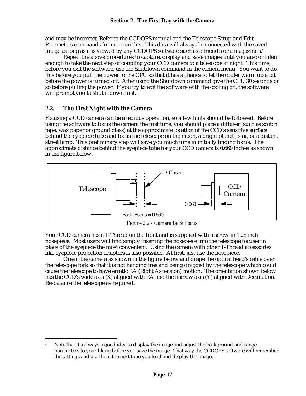and may be incorrect. Refer to the CCDOPS manual and the Telescope Setup and Edit Parameters commands for more on this. This data will always be connected with the saved image as long as it is viewed by any CCDOPS software such as a friend's or a magazine's.<sup>5</sup>

Repeat the above procedures to capture, display and save images until you are confident enough to take the next step of coupling your CCD camera to a telescope at night. This time, before you exit the software, use the Shutdown command in the camera menu. You want to do this before you pull the power to the CPU so that it has a chance to let the cooler warm up a bit before the power is turned off. After using the Shutdown command give the CPU 30 seconds or so before pulling the power. If you try to exit the software with the cooling on, the software will prompt you to shut it down first.

## **2.2. The First Night with the Camera**

1

Focusing a CCD camera can be a tedious operation, so a few hints should be followed. Before using the software to focus the camera the first time, you should place a diffuser (such as scotch tape, wax paper or ground glass) at the approximate location of the CCD's sensitive surface behind the eyepiece tube and focus the telescope on the moon, a bright planet , star, or a distant street lamp. This preliminary step will save you much time in initially finding focus. The approximate distance behind the eyepiece tube for your CCD camera is 0.660 inches as shown in the figure below.



*Figure 2.2 - Camera Back Focus*

Your CCD camera has a T-Thread on the front and is supplied with a screw-in 1.25 inch nosepiece. Most users will find simply inserting the nosepiece into the telescope focuser in place of the eyepiece the most convenient. Using the camera with other T-Thread accessories like eyepiece projection adapters is also possible. At first, just use the nosepiece.

Orient the camera as shown in the figure below and drape the optical head's cable over the telescope fork so that it is not hanging free and being dragged by the telescope which could cause the telescope to have erratic RA (Right Ascension) motion. The orientation shown below has the CCD's wide axis (X) aligned with RA and the narrow axis (Y) aligned with Declination. Re-balance the telescope as required.

<sup>&</sup>lt;sup>5</sup> Note that it's always a good idea to display the image and adjust the background and range parameters to your liking before you save the image. That way the CCDOPS software will remember the settings and use them the next time you load and display the image.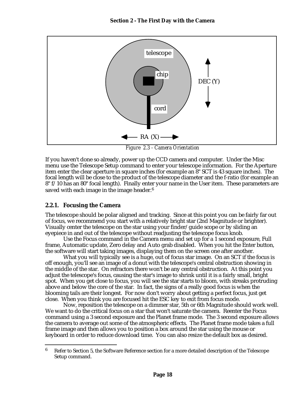

*Figure 2.3 - Camera Orientation*

If you haven't done so already, power up the CCD camera and computer. Under the Misc menu use the Telescope Setup command to enter your telescope information. For the Aperture item enter the clear aperture in square inches (for example an 8" SCT is 43 square inches). The focal length will be close to the product of the telescope diameter and the f-ratio (for example an 8" f/10 has an 80" focal length). Finally enter your name in the User item. These parameters are saved with each image in the image header.<sup>6</sup>

## **2.2.1. Focusing the Camera**

1

The telescope should be polar aligned and tracking. Since at this point you can be fairly far out of focus, we recommend you start with a relatively bright star (2nd Magnitude or brighter). Visually center the telescope on the star using your finder/guide scope or by sliding an eyepiece in and out of the telescope without readjusting the telescope focus knob.

Use the Focus command in the Camera menu and set up for a 1 second exposure, Full frame, Automatic update, Zero delay and Auto grab disabled. When you hit the Enter button, the software will start taking images, displaying them on the screen one after another.

What you will typically see is a huge, out of focus star image. On an SCT if the focus is off enough, you'll see an image of a donut with the telescope's central obstruction showing in the middle of the star. On refractors there won't be any central obstruction. At this point you adjust the telescope's focus, causing the star's image to shrink until it is a fairly small, bright spot. When you get close to focus, you will see the star starts to bloom, with streaks protruding above and below the core of the star. In fact, the signs of a really good focus is when the blooming tails are their longest. For now don't worry about getting a perfect focus, just get close. When you think you are focused hit the ESC key to exit from focus mode.

Now, reposition the telescope on a dimmer star, 5th or 6th Magnitude should work well. We want to do the critical focus on a star that won't saturate the camera. Reenter the Focus command using a 3 second exposure and the Planet frame mode. The 3 second exposure allows the camera to average out some of the atmospheric effects. The Planet frame mode takes a full frame image and then allows you to position a box around the star using the mouse or keyboard in order to reduce download time. You can also resize the default box as desired.

<sup>6</sup> Refer to Section 5, the Software Reference section for a more detailed description of the Telescope Setup command.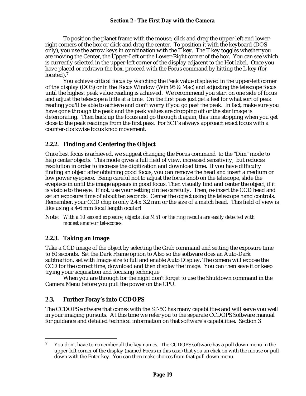To position the planet frame with the mouse, click and drag the upper-left and lowerright corners of the box or click and drag the center. To position it with the keyboard (DOS only), you use the arrow keys in combination with the T key. The T key toggles whether you are moving the Center, the Upper-Left or the Lower-Right corner of the box. You can see which is currently selected in the upper-left corner of the display adjacent to the Hot label. Once you have placed or redrawn the box, proceed with the Focus command by hitting the L key (for located).<sup>7</sup>

You achieve critical focus by watching the Peak value displayed in the upper-left corner of the display (DOS) or in the Focus Window (Win 95 & Mac) and adjusting the telescope focus until the highest peak value reading is achieved. We recommend you start on one side of focus and adjust the telescope a little at a time. On the first pass just get a feel for what sort of peak reading you'll be able to achieve and don't worry if you go past the peak. In fact, make sure you have gone through the peak and the peak values are dropping off or the star image is deteriorating. Then back up the focus and go through it again, this time stopping when you get close to the peak readings from the first pass. For SCT's always approach exact focus with a counter-clockwise focus knob movement.

## **2.2.2. Finding and Centering the Object**

Once best focus is achieved, we suggest changing the Focus command to the "Dim" mode to help center objects. This mode gives a full field of view, increased sensitivity, but reduces resolution in order to increase the digitization and download time. If you have difficulty finding an object after obtaining good focus, you can remove the head and insert a medium or low power eyepiece. Being careful not to adjust the focus knob on the telescope, slide the eyepiece in until the image appears in good focus. Then visually find and center the object, if it is visible to the eye. If not, use your setting circles carefully. Then, re-insert the CCD head and set an exposure time of about ten seconds. Center the object using the telescope hand controls. Remember, your CCD chip is only 2.4 x 3.2 mm or the size of a match head. This field of view is like using a 4-6 mm focal length ocular!

## **2.2.3. Taking an Image**

1

Take a CCD image of the object by selecting the Grab command and setting the exposure time to 60 seconds. Set the Dark Frame option to Also so the software does an Auto-Dark subtraction, set with Image size to full and enable Auto Display. The camera will expose the CCD for the correct time, download and then display the image. You can then save it or keep trying your acquisition and focusing technique

When you are through for the night don't forget to use the Shutdown command in the Camera Menu before you pull the power on the CPU.

# **2.3. Further Foray's into CCDOPS**

The CCDOPS software that comes with the ST-5C has many capabilities and will serve you well in your imaging pursuits. At this time we refer you to the separate CCDOPS Software manual for guidance and detailed technical information on that software's capabilities. Section 3

Note: *With a 10 second exposure, objects like M51 or the ring nebula are easily detected with modest amateur telescopes.*

 $7$  You don't have to remember all the key names. The CCDOPS software has a pull down menu in the upper-left corner of the display (named Focus in this case) that you an click on with the mouse or pull down with the Enter key. You can then make choices from that pull-down menu.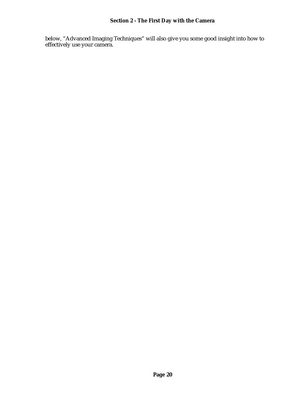below, "Advanced Imaging Techniques" will also give you some good insight into how to effectively use your camera.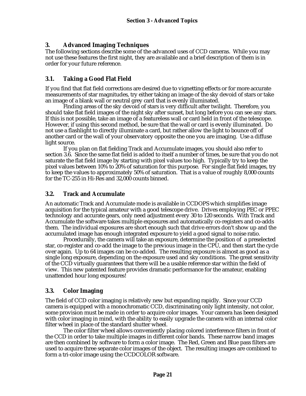# **3. Advanced Imaging Techniques**

The following sections describe some of the advanced uses of CCD cameras. While you may not use these features the first night, they are available and a brief description of them is in order for your future reference.

## **3.1. Taking a Good Flat Field**

If you find that flat field corrections are desired due to vignetting effects or for more accurate measurements of star magnitudes, try either taking an image of the sky devoid of stars or take an image of a blank wall or neutral grey card that is evenly illuminated.

Finding areas of the sky devoid of stars is very difficult after twilight. Therefore, you should take flat field images of the night sky after sunset, but long before you can see any stars. If this is not possible, take an image of a featureless wall or card held in front of the telescope. However, if using this second method, be sure that the wall or card is evenly illuminated. Do not use a flashlight to directly illuminate a card, but rather allow the light to bounce off of another card or the wall of your observatory opposite the one you are imaging. Use a diffuse light source.

If you plan on flat fielding Track and Accumulate images, you should also refer to section 3.6. Since the same flat field is added to itself a number of times, be sure that you do not saturate the flat field image by starting with pixel values too high. Typically try to keep the pixel values between 10% to 20% of saturation for this purpose. For single flat field images, try to keep the values to approximately 50% of saturation. That is a value of roughly 8,000 counts for the TC-255 in Hi-Res and 32,000 counts binned.

## **3.2. Track and Accumulate**

An automatic Track and Accumulate mode is available in CCDOPS which simplifies image acquisition for the typical amateur with a good telescope drive. Drives employing PEC or PPEC technology and accurate gears, only need adjustment every 30 to 120 seconds. With Track and Accumulate the software takes multiple exposures and automatically co-registers and co-adds them. The individual exposures are short enough such that drive errors don't show up and the accumulated image has enough integrated exposure to yield a good signal to noise ratio.

Procedurally, the camera will take an exposure, determine the position of a preselected star, co-register and co-add the image to the previous image in the CPU, and then start the cycle over again. Up to 64 images can be co-added. The resulting exposure is almost as good as a single long exposure, depending on the exposure used and sky conditions. The great sensitivity of the CCD virtually guarantees that there will be a usable reference star within the field of view. This new patented feature provides dramatic performance for the amateur, enabling unattended hour long exposures!

## **3.3. Color Imaging**

The field of CCD color imaging is relatively new but expanding rapidly. Since your CCD camera is equipped with a monochromatic CCD, discriminating only light intensity, not color, some provision must be made in order to acquire color images. Your camera has been designed with color imaging in mind, with the ability to easily upgrade the camera with an internal color filter wheel in place of the standard shutter wheel.

The color filter wheel allows conveniently placing colored interference filters in front of the CCD in order to take multiple images in different color bands. These narrow band images are then combined by software to form a color image. The Red, Green and Blue pass filters are used to acquire three separate color images of the object. The resulting images are combined to form a tri-color image using the CCDCOLOR software.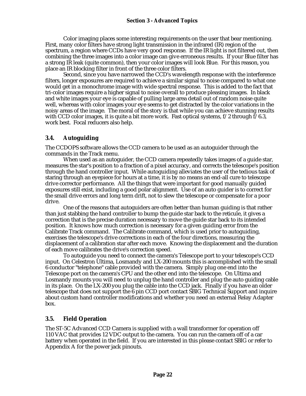Color imaging places some interesting requirements on the user that bear mentioning. First, many color filters have strong light transmission in the infrared (IR) region of the spectrum, a region where CCDs have very good response. If the IR light is not filtered out, then combining the three images into a color image can give erroneous results. If your Blue filter has a strong IR leak (quite common), then your color images will look Blue. For this reason, you place an IR blocking filter in front of the three color filters.

Second, since you have narrowed the CCD's wavelength response with the interference filters, longer exposures are required to achieve a similar signal to noise compared to what one would get in a monochrome image with wide spectral response. This is added to the fact that tri-color images require a higher signal to noise overall to produce pleasing images. In black and white images your eye is capable of pulling large area detail out of random noise quite well, whereas with color images your eye seems to get distracted by the color variations in the noisy areas of the image. The moral of the story is that while you can achieve stunning results with CCD color images, it is quite a bit more work. Fast optical systems,  $f/2$  through  $f/6.3$ , work best. Focal reducers also help.

## **3.4. Autoguiding**

The CCDOPS software allows the CCD camera to be used as an autoguider through the commands in the Track menu.

When used as an autoguider, the CCD camera repeatedly takes images of a guide star, measures the star's position to a fraction of a pixel accuracy, and corrects the telescope's position through the hand controller input. While autoguiding alleviates the user of the tedious task of staring through an eyepiece for hours at a time, it is by no means an end-all cure to telescope drive corrector performance. All the things that were important for good manually guided exposures still exist, including a good polar alignment. Use of an auto guider is to correct for the small drive errors and long term drift, not to slew the telescope or compensate for a poor drive.

One of the reasons that autoguiders are often better than human guiding is that rather than just stabbing the hand controller to bump the guide star back to the reticule, it gives a correction that is the precise duration necessary to move the guide star back to its intended position. It knows how much correction is necessary for a given guiding error from the Calibrate Track command. The Calibrate command, which is used prior to autoguiding, exercises the telescope's drive corrections in each of the four directions, measuring the displacement of a calibration star after each move. Knowing the displacement and the duration of each move calibrates the drive's correction speed.

To autoguide you need to connect the camera's Telescope port to your telescope's CCD input. On Celestron Ultima, Losmandy and LX-200 mounts this is accomplished with the small 6 conductor "telephone" cable provided with the camera. Simply plug one end into the Telescope port on the camera's CPU and the other end into the telescope. On Ultima and Losmandy mounts you will need to unplug the hand controller and plug the auto guiding cable in its place. On the LX-200 you plug the cable into the CCD jack. Finally if you have an older telescope that does not support the 6 pin CCD port contact SBIG Technical Support and inquire about custom hand controller modifications and whether you need an external Relay Adapter box.

## **3.5. Field Operation**

The ST-5C Advanced CCD Camera is supplied with a wall transformer for operation off 110 VAC that provides 12 VDC output to the camera. You can run the camera off of a car battery when operated in the field. If you are interested in this please contact SBIG or refer to Appendix A for the power jack pinouts.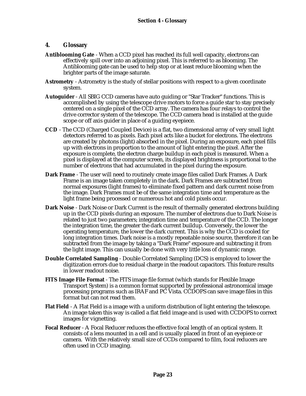## **4. Glossary**

- **Antiblooming Gate** When a CCD pixel has reached its full well capacity, electrons can effectively spill over into an adjoining pixel. This is referred to as blooming. The Antiblooming gate can be used to help stop or at least reduce blooming when the brighter parts of the image saturate.
- **Astrometry** Astrometry is the study of stellar positions with respect to a given coordinate system.
- **Autoguider** All SBIG CCD cameras have auto guiding or "Star Tracker" functions. This is accomplished by using the telescope drive motors to force a guide star to stay precisely centered on a single pixel of the CCD array. The camera has four relays to control the drive corrector system of the telescope. The CCD camera head is installed at the guide scope or off axis guider in place of a guiding eyepiece.
- **CCD** The CCD (Charged Coupled Device) is a flat, two dimensional array of very small light detectors referred to as pixels. Each pixel acts like a bucket for electrons. The electrons are created by photons (light) absorbed in the pixel. During an exposure, each pixel fills up with electrons in proportion to the amount of light entering the pixel. After the exposure is complete, the electron charge buildup in each pixel is measured. When a pixel is displayed at the computer screen, its displayed brightness is proportional to the number of electrons that had accumulated in the pixel during the exposure.
- **Dark Frame** The user will need to routinely create image files called Dark Frames. A Dark Frame is an image taken completely in the dark. Dark Frames are subtracted from normal exposures (light frames) to eliminate fixed pattern and dark current noise from the image. Dark Frames must be of the same integration time and temperature as the light frame being processed or numerous hot and cold pixels occur.
- **Dark Noise**  Dark Noise or Dark Current is the result of thermally generated electrons building up in the CCD pixels during an exposure. The number of electrons due to Dark Noise is related to just two parameters; integration time and temperature of the CCD. The longer the integration time, the greater the dark current buildup. Conversely, the lower the operating temperature, the lower the dark current. This is why the CCD is cooled for long integration times. Dark noise is a mostly repeatable noise source, therefore it can be subtracted from the image by taking a "Dark Frame" exposure and subtracting it from the light image. This can usually be done with very little loss of dynamic range.
- **Double Correlated Sampling** Double Correlated Sampling (DCS) is employed to lower the digitization errors due to residual charge in the readout capacitors. This feature results in lower readout noise.
- **FITS Image File Format** The FITS image file format (which stands for Flexible Image Transport System) is a common format supported by professional astronomical image processing programs such as IRAF and PC Vista. CCDOPS can save image files in this format but can not read them.
- **Flat Field** A Flat Field is a image with a uniform distribution of light entering the telescope. An image taken this way is called a flat field image and is used with CCDOPS to correct images for vignetting.
- **Focal Reducer** A Focal Reducer reduces the effective focal length of an optical system. It consists of a lens mounted in a cell and is usually placed in front of an eyepiece or camera. With the relatively small size of CCDs compared to film, focal reducers are often used in CCD imaging.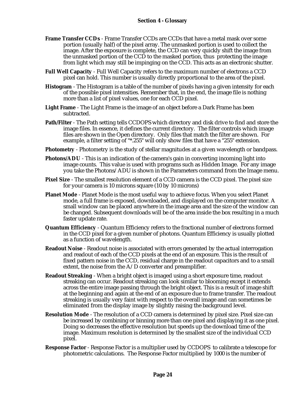- **Frame Transfer CCDs** Frame Transfer CCDs are CCDs that have a metal mask over some portion (usually half) of the pixel array. The unmasked portion is used to collect the image. After the exposure is complete, the CCD can very quickly shift the image from the unmasked portion of the CCD to the masked portion, thus protecting the image from light which may still be impinging on the CCD. This acts as an electronic shutter.
- **Full Well Capacity** Full Well Capacity refers to the maximum number of electrons a CCD pixel can hold. This number is usually directly proportional to the area of the pixel.
- **Histogram** The Histogram is a table of the number of pixels having a given intensity for each of the possible pixel intensities. Remember that, in the end, the image file is nothing more than a list of pixel values, one for each CCD pixel.
- **Light Frame** The Light Frame is the image of an object before a Dark Frame has been subtracted.
- **Path/Filter**  The Path setting tells CCDOPS which directory and disk drive to find and store the image files. In essence, it defines the current directory. The filter controls which image files are shown in the Open directory. Only files that match the filter are shown. For example, a filter setting of "\*.255" will only show files that have a "255" extension.
- **Photometry** Photometry is the study of stellar magnitudes at a given wavelength or bandpass.
- **Photons/ADU** This is an indication of the camera's gain in converting incoming light into image counts. This value is used with programs such as Hidden Image. For any image you take the Photons/ADU is shown in the Parameters command from the Image menu.
- **Pixel Size** The smallest resolution element of a CCD camera is the CCD pixel. The pixel size for your camera is 10 microns square (10 by 10 microns)
- **Planet Mode** Planet Mode is the most useful way to achieve focus. When you select Planet mode, a full frame is exposed, downloaded, and displayed on the computer monitor. A small window can be placed anywhere in the image area and the size of the window can be changed. Subsequent downloads will be of the area inside the box resulting in a much faster update rate.
- **Quantum Efficiency** Quantum Efficiency refers to the fractional number of electrons formed in the CCD pixel for a given number of photons. Quantum Efficiency is usually plotted as a function of wavelength.
- **Readout Noise** Readout noise is associated with errors generated by the actual interrogation and readout of each of the CCD pixels at the end of an exposure. This is the result of fixed pattern noise in the CCD, residual charge in the readout capacitors and to a small extent, the noise from the A/D converter and preamplifier.
- **Readout Streaking** When a bright object is imaged using a short exposure time, readout streaking can occur. Readout streaking can look similar to blooming except it extends across the entire image passing through the bright object. This is a result of image shift at the beginning and again at the end of an exposure due to frame transfer. The readout streaking is usually very faint with respect to the overall image and can sometimes be eliminated from the display image by slightly raising the background level.
- **Resolution Mode** The resolution of a CCD camera is determined by pixel size. Pixel size can be increased by combining or binning more than one pixel and displaying it as one pixel. Doing so decreases the effective resolution but speeds up the download time of the image. Maximum resolution is determined by the smallest size of the individual CCD pixel.
- **Response Factor** Response Factor is a multiplier used by CCDOPS to calibrate a telescope for photometric calculations. The Response Factor multiplied by 1000 is the number of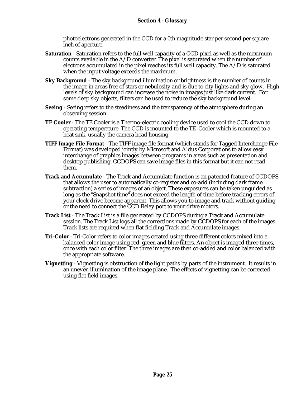photoelectrons generated in the CCD for a 0th magnitude star per second per square inch of aperture.

- **Saturation** Saturation refers to the full well capacity of a CCD pixel as well as the maximum counts available in the  $A/D$  converter. The pixel is saturated when the number of electrons accumulated in the pixel reaches its full well capacity. The A/D is saturated when the input voltage exceeds the maximum.
- **Sky Background** The sky background illumination or brightness is the number of counts in the image in areas free of stars or nebulosity and is due to city lights and sky glow. High levels of sky background can increase the noise in images just like dark current. For some deep sky objects, filters can be used to reduce the sky background level.
- **Seeing** Seeing refers to the steadiness and the transparency of the atmosphere during an observing session.
- **TE Cooler**  The TE Cooler is a Thermo-electric cooling device used to cool the CCD down to operating temperature. The CCD is mounted to the TE Cooler which is mounted to a heat sink, usually the camera head housing.
- **TIFF Image File Format** The TIFF image file format (which stands for Tagged Interchange File Format) was developed jointly by Microsoft and Aldus Corporations to allow easy interchange of graphics images between programs in areas such as presentation and desktop publishing. CCDOPS can save image files in this format but it can not read them.
- **Track and Accumulate** The Track and Accumulate function is an patented feature of CCDOPS that allows the user to automatically co-register and co-add (including dark frame subtraction) a series of images of an object. These exposures can be taken unguided as long as the "Snapshot time" does not exceed the length of time before tracking errors of your clock drive become apparent. This allows you to image and track without guiding or the need to connect the CCD Relay port to your drive motors.
- **Track List** The Track List is a file generated by CCDOPS during a Track and Accumulate session. The Track List logs all the corrections made by CCDOPS for each of the images. Track lists are required when flat fielding Track and Accumulate images.
- **Tri-Color** Tri-Color refers to color images created using three different colors mixed into a balanced color image using red, green and blue filters. An object is imaged three times, once with each color filter. The three images are then co-added and color balanced with the appropriate software.
- **Vignetting** Vignetting is obstruction of the light paths by parts of the instrument. It results in an uneven illumination of the image plane. The effects of vignetting can be corrected using flat field images.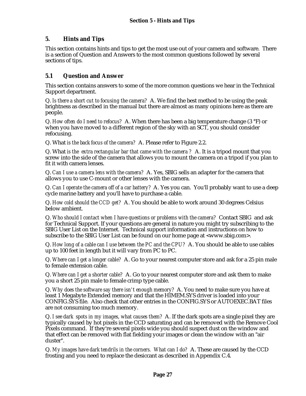## **5. Hints and Tips**

This section contains hints and tips to get the most use out of your camera and software. There is a section of Question and Answers to the most common questions followed by several sections of tips.

## **5.1 Question and Answer**

This section contains answers to some of the more common questions we hear in the Technical Support department.

Q. *Is there a short cut to focusing the camera?* A. We find the best method to be using the peak brightness as described in the manual but there are almost as many opinions here as there are people.

Q. *How often do I need to refocus?* A. When there has been a big temperature change (3 °F) or when you have moved to a different region of the sky with an SCT, you should consider refocusing.

Q. What *is the back focus of the camera?* A. Please refer to Figure 2.2.

Q. What *is the extra rectangular bar that came with the camera ?* A. It is a tripod mount that you screw into the side of the camera that allows you to mount the camera on a tripod if you plan to fit it with camera lenses.

Q. *Can I use a camera lens with the camera?* A. Yes, SBIG sells an adapter for the camera that allows you to use C-mount or other lenses with the camera.

Q. *Can I operate the camera off of a car battery?* A. Yes you can. You'll probably want to use a deep cycle marine battery and you'll have to purchase a cable.

Q. *How cold should the CCD get?* A. You should be able to work around 30 degrees Celsius below ambient.

Q. *Who should I contact when I have questions or problems with the camera?* Contact SBIG and ask for Technical Support. If your questions are general in nature you might try subscribing to the SBIG User List on the Internet. Technical support information and instructions on how to subscribe to the SBIG User List can be found on our home page at <www.sbig.com>.

Q. *How long of a cable can I use between the PC and the CPU?* A. You should be able to use cables up to 100 feet in length but it will vary from PC to PC.

Q. *Where can I get a longer cable?* A. Go to your nearest computer store and ask for a 25 pin male to female extension cable.

Q. *Where can I get a shorter cable?* A. Go to your nearest computer store and ask them to make you a short 25 pin male to female crimp type cable.

Q. *Why does the software say there isn't enough memory?* A. You need to make sure you have at least 1 Megabyte Extended memory and that the HIMEM.SYS driver is loaded into your CONFIG.SYS file. Also check that other entries in the CONFIG.SYS or AUTOEXEC.BAT files are not consuming too much memory.

Q. *I see dark spots in my images, what causes them?* A. If the dark spots are a single pixel they are typically caused by hot pixels in the CCD saturating and can be removed with the Remove Cool Pixels command. If they're several pixels wide you should suspect dust on the window and that effect can be removed with flat fielding your images or clean the window with an "air duster".

Q. *My images have dark tendrils in the corners. What can I do?* A. These are caused by the CCD frosting and you need to replace the desiccant as described in Appendix C.4.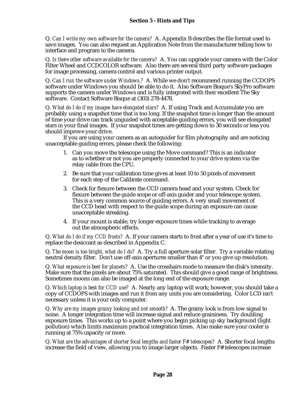Q. *Can I write my own software for the camera?* A. Appendix B describes the file format used to save images. You can also request an Application Note from the manufacturer telling how to interface and program to the camera.

Q. *Is there other software available for the camera?* A. You can upgrade your camera with the Color Filter Wheel and CCDCOLOR software. Also there are several third party software packages for image processing, camera control and various printer output.

Q. *Can I run the software under Windows,?* A. While we don't recommend running the CCDOPS software under Windows you should be able to do it. Also Software Bisque's SkyPro software supports the camera under Windows and is fully integrated with their excellent The Sky software. Contact Software Bisque at (303) 278-4478.

Q. *What do I do if my images have elongated stars?* A. If using Track and Accumulate you are probably using a snapshot time that is too long. If the snapshot time is longer than the amount of time your drive can track unguided with acceptable guiding errors, you will see elongated stars in your final images. If your snapshot times are getting down to 30 seconds or less you should improve your drive.

If you are using your camera as an autoguider for film photography and are noticing unacceptable guiding errors, please check the following:

- 1. Can you move the telescope using the Move command? This is an indicator as to whether or not you are properly connected to your drive system via the relay cable from the CPU.
- 2. Be sure that your calibration time gives at least 10 to 50 pixels of movement for each step of the Calibrate command.
- 3. Check for flexure between the CCD camera head and your system. Check for flexure between the guide scope or off-axis guider and your telescope system. This is a very common source of guiding errors. A very small movement of the CCD head with respect to the guide scope during an exposure can cause unacceptable streaking.
- 4. If your mount is stable, try longer exposure times while tracking to average out the atmospheric effects.

Q. *What do I do if my CCD frosts?* A. If your camera starts to frost after a year of use it's time to replace the desiccant as described in Appendix C.

Q. *The moon is too bright, what do I do?* A. Try a full aperture solar filter. Try a variable rotating neutral density filter. Don't use off-axis apertures smaller than 4" or you give up resolution.

Q. *What exposure is best for planets?* A. Use the crosshairs mode to measure the disk's intensity. Make sure that the pixels are about 75% saturated. This should give a good range of brightness. Sometimes moons can also be imaged at the long end of the exposure range.

Q. *Which laptop is best for CCD use?* A. Nearly any laptop will work; however, you should take a copy of CCDOPS with images and run it from any units you are considering. Color LCD isn't necessary unless it is your only computer.

Q. *Why are my images grainy looking and not smooth?* A. The grainy look is from low signal to noise. A longer integration time will increase signal and reduce graininess. Try doubling exposure times. This works up to a point where you begin picking up sky background (light pollution) which limits maximum practical integration times. Also make sure your cooler is running at 75% capacity or more.

Q. *What are the advantages of shorter focal lengths and faster F# telescopes?* A. Shorter focal lengths increase the field of view, allowing you to image larger objects. Faster F# telescopes increase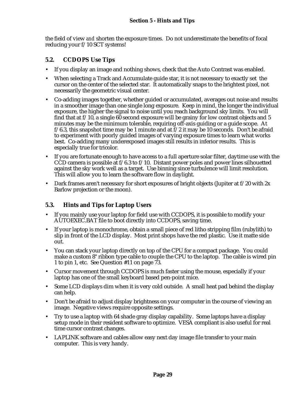the field of view *and* shorten the exposure times. Do not underestimate the benefits of focal reducing your f/10 SCT systems!

## **5.2. CCDOPS Use Tips**

- If you display an image and nothing shows, check that the Auto Contrast was enabled.
- When selecting a Track and Accumulate guide star, it is not necessary to exactly set the cursor on the center of the selected star. It automatically snaps to the brightest pixel, not necessarily the geometric visual center.
- Co-adding images together, whether guided or accumulated, averages out noise and results in a smoother image than one single long exposure. Keep in mind, the longer the individual exposure, the higher the signal to noise until you reach background sky limits. You will find that at  $f/10$ , a single 60 second exposure will be grainy for low contrast objects and 5 minutes may be the minimum tolerable, requiring off-axis guiding or a guide scope. At  $f/6.3$ , this snapshot time may be 1 minute and at  $f/2$  it may be 10 seconds. Don't be afraid to experiment with poorly guided images of varying exposure times to learn what works best. Co-adding many underexposed images still results in inferior results. This is especially true for tricolor.
- If you are fortunate enough to have access to a full aperture solar filter, daytime use with the CCD camera is possible at  $f/6.3$  to  $f/10$ . Distant power poles and power lines silhouetted against the sky work well as a target. Use binning since turbulence will limit resolution. This will allow you to learn the software flow in daylight.
- Dark frames aren't necessary for short exposures of bright objects (Jupiter at f/20 with 2x Barlow projection or the moon).

# **5.3. Hints and Tips for Laptop Users**

- If you mainly use your laptop for field use with CCDOPS, it is possible to modify your AUTOEXEC.BAT file to boot directly into CCDOPS, saving time.
- If your laptop is monochrome, obtain a small piece of red litho stripping film (rubylith) to slip in front of the LCD display. Most print shops have the red plastic. Use it matte side out.
- You can stack your laptop directly on top of the CPU for a compact package. You could make a custom 8" ribbon type cable to couple the CPU to the laptop. The cable is wired pin 1 to pin 1, etc. See Question #11 on page 73.
- Cursor movement through CCDOPS is much faster using the mouse, especially if your laptop has one of the small keyboard based pen-point mice.
- Some LCD displays dim when it is very cold outside. A small heat pad behind the display can help.
- Don't be afraid to adjust display brightness on your computer in the course of viewing an image. Negative views require opposite settings.
- Try to use a laptop with 64 shade gray display capability. Some laptops have a display setup mode in their resident software to optimize. VESA compliant is also useful for real time cursor contrast changes.
- LAPLINK software and cables allow easy next day image file transfer to your main computer. This is very handy.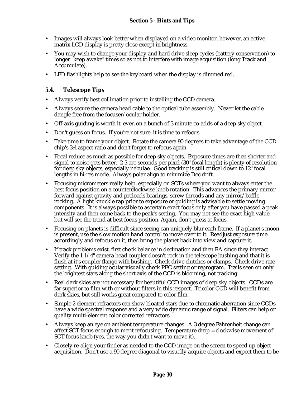- Images will always look better when displayed on a video monitor, however, an active matrix LCD display is pretty close except in brightness.
- You may wish to change your display and hard drive sleep cycles (battery conservation) to longer "keep awake" times so as not to interfere with image acquisition (long Track and Accumulate).
- LED flashlights help to see the keyboard when the display is dimmed red.

## **5.4. Telescope Tips**

- Always verify best collimation prior to installing the CCD camera.
- Always secure the camera head cable to the optical tube assembly. Never let the cable dangle free from the focuser/ocular holder.
- Off-axis guiding is worth it, even on a bunch of 3 minute co-adds of a deep sky object.
- Don't guess on focus. If you're not sure, it is time to refocus.
- Take time to frame your object. Rotate the camera 90 degrees to take advantage of the CCD chip's 3:4 aspect ratio and don't forget to refocus again.
- Focal reduce as much as possible for deep sky objects. Exposure times are then shorter and signal to noise gets better. 2-3 arc-seconds per pixel (30" focal length) is plenty of resolution for deep sky objects, especially nebulae. Good tracking is still critical down to 12" focal lengths in hi-res mode. Always polar align to minimize Dec drift.
- Focusing micrometers really help, especially on SCTs where you want to always enter the best focus position on a counterclockwise knob rotation. This advances the primary mirror forward against gravity and preloads bearings, screw threads and any mirror/baffle rocking. A light knuckle rap prior to exposure or guiding is advisable to settle moving components. It is always possible to ascertain exact focus only after you have passed a peak intensity and then come back to the peak's setting. You may not see the exact high value, but will see the trend at best focus position. Again, don't guess at focus.
- Focusing on planets is difficult since seeing can uniquely blur each frame. If a planet's moon is present, use the slow motion hand control to move over to it. Readjust exposure time accordingly and refocus on it, then bring the planet back into view and capture it.
- If track problems exist, first check balance in declination and then RA since they interact. Verify the 1 1/4" camera head coupler doesn't rock in the telescope bushing and that it is flush at it's coupler flange with bushing. Check drive clutches or clamps. Check drive rate setting. With guiding ocular visually check PEC setting or reprogram. Trails seen on only the brightest stars along the short axis of the CCD is blooming, not tracking.
- Real dark skies are not necessary for beautiful CCD images of deep sky objects. CCDs are far superior to film with or without filters in this respect. Tricolor CCD will benefit from dark skies, but still works great compared to color film.
- Simple 2 element refractors can show bloated stars due to chromatic aberration since CCDs have a wide spectral response and a very wide dynamic range of signal. Filters can help or quality multi-element color corrected refractors.
- Always keep an eye on ambient temperature changes. A 3 degree Fahrenheit change can affect SCT focus enough to merit refocusing. Temperature drop = clockwise movement of SCT focus knob (yes, the way you didn't want to move it).
- Closely re-align your finder as needed to the CCD image on the screen to speed up object acquisition. Don't use a 90 degree diagonal to visually acquire objects and expect them to be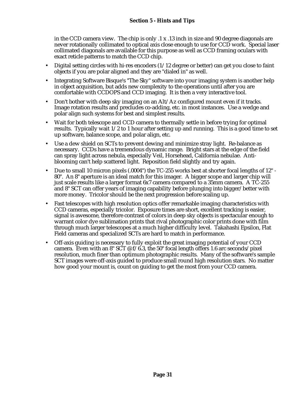in the CCD camera view. The chip is only .1 x .13 inch in size and 90 degree diagonals are never rotationally collimated to optical axis close enough to use for CCD work. Special laser collimated diagonals are available for this purpose as well as CCD framing oculars with exact reticle patterns to match the CCD chip.

- Digital setting circles with hi-res encoders  $(1/12$  degree or better) can get you close to faint objects if you are polar aligned and they are "dialed in" as well.
- Integrating Software Bisque's "The Sky" software into your imaging system is another help in object acquisition, but adds new complexity to the operations until after you are comfortable with CCDOPS and CCD imaging. It is then a very interactive tool.
- Don't bother with deep sky imaging on an Alt/Az configured mount even if it tracks. Image rotation results and precludes co-adding, etc. in most instances. Use a wedge and polar align such systems for best and simplest results.
- Wait for both telescope and CCD camera to thermally settle in before trying for optimal results. Typically wait  $1/2$  to 1 hour after setting up and running. This is a good time to set up software, balance scope, and polar align, etc.
- Use a dew shield on SCTs to prevent dewing and minimize stray light. Re-balance as necessary. CCDs have a tremendous dynamic range. Bright stars at the edge of the field can spray light across nebula, especially Veil, Horsehead, California nebulae. Antiblooming can't help scattered light. Reposition field slightly and try again.
- Due to small 10 micron pixels (.0004") the TC-255 works best at shorter focal lengths of 12" 80". An 8" aperture is an ideal match for this imager. A bigger scope and larger chip will just scale results like a larger format 6x7 camera compared to a 35mm camera. A TC-255 and 8" SCT can offer years of imaging capability before plunging into bigger/better with more money. Tricolor should be the next progression before scaling up.
- Fast telescopes with high resolution optics offer remarkable imaging characteristics with CCD cameras, especially tricolor. Exposure times are short, excellent tracking is easier, signal is awesome, therefore contrast of colors in deep sky objects is spectacular enough to warrant color dye sublimation prints that rival photographic color prints done with film through much larger telescopes at a much higher difficulty level. Takahashi Epsilon, Flat Field cameras and specialized SCTs are hard to match in performance.
- Off-axis guiding is necessary to fully exploit the great imaging potential of your CCD camera. Even with an 8" SCT @  $f/6.3$ , the 50" focal length offers 1.6 arc seconds/pixel resolution, much finer than optimum photographic results. Many of the software's sample SCT images were off-axis guided to produce small round high resolution stars. No matter how good your mount is, count on guiding to get the most from your CCD camera.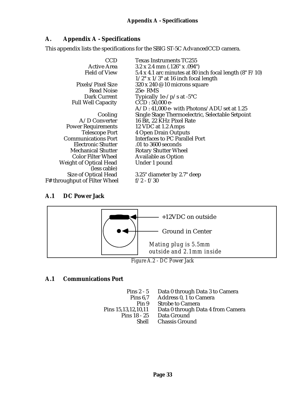# **A. Appendix A - Specifications**

This appendix lists the specifications for the SBIG ST-5C AdvancedCCD camera.

| CCD                           | <b>Texas Instruments TC255</b>                              |
|-------------------------------|-------------------------------------------------------------|
| <b>Active Area</b>            | $3.2 \times 2.4$ mm $(.126" \times .094")$                  |
| <b>Field of View</b>          | 5.4 x 4.1 arc minutes at 80 inch focal length $(8" F/10)$   |
|                               | $1/2^{\circ}$ x $1/3^{\circ}$ at 16 inch focal length       |
| Pixels/Pixel Size             | $320 \times 240 \text{ } \textcircled{e}$ 10 microns square |
| <b>Read Noise</b>             | 25e-RMS                                                     |
| Dark Current                  | Typically 1e- $/p$ /s at -5 $°C$                            |
| <b>Full Well Capacity</b>     | $CCD: 50,000$ e-                                            |
|                               | $A/D$ : 41,000 e- with Photons/ADU set at 1.25              |
| Cooling                       | Single Stage Thermoelectric, Selectable Setpoint            |
| $A/D$ Converter               | 16 Bit, 22 KHz Pixel Rate                                   |
| <b>Power Requirements</b>     | 12 VDC at 1.2 Amps                                          |
| <b>Telescope Port</b>         | <b>4 Open Drain Outputs</b>                                 |
| <b>Communications Port</b>    | <b>Interfaces to PC Parallel Port</b>                       |
| <b>Electronic Shutter</b>     | .01 to 3600 seconds                                         |
| <b>Mechanical Shutter</b>     | <b>Rotary Shutter Wheel</b>                                 |
| <b>Color Filter Wheel</b>     | <b>Available as Option</b>                                  |
| <b>Weight of Optical Head</b> | Under 1 pound                                               |
| (less cable)                  |                                                             |
| Size of Optical Head          | 3.25" diameter by 2.7" deep                                 |
| F# throughput of Filter Wheel | $f/2 - f/30$                                                |

# **A.1 DC Power Jack**



# **A.1 Communications Port**

Pins 2 - 5 Data 0 through Data 3 to Camera<br>Pins 6,7 Address 0, 1 to Camera ns 6,7 Address 0, 1 to Camera<br>Pin 9 Strobe to Camera Pin 9 Strobe to Camera<br>Pins 15,13,12,10,11 Data 0 through Da Pins 15,13,12,10,11 Data 0 through Data 4 from Camera 8 - 25 Data Ground<br>Shell Chassis Groui Chassis Ground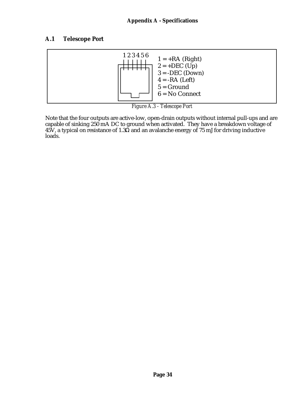# **A.1 Telescope Port**



*Figure A.3 - Telescope Port*

Note that the four outputs are active-low, open-drain outputs without internal pull-ups and are capable of sinking 250 mA DC to ground when activated. They have a breakdown voltage of 45V, a typical on resistance of 1.3 and an avalanche energy of 75 mJ for driving inductive loads.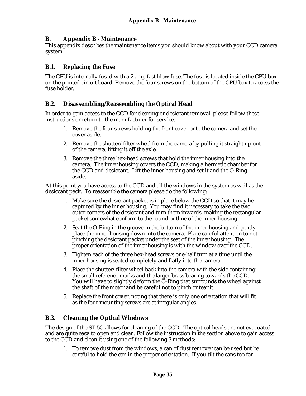## **B. Appendix B - Maintenance**

This appendix describes the maintenance items you should know about with your CCD camera system.

## **B.1. Replacing the Fuse**

The CPU is internally fused with a 2 amp fast blow fuse. The fuse is located inside the CPU box on the printed circuit board. Remove the four screws on the bottom of the CPU box to access the fuse holder.

## **B.2. Disassembling/Reassembling the Optical Head**

In order to gain access to the CCD for cleaning or desiccant removal, please follow these instructions or return to the manufacturer for service.

- 1. Remove the four screws holding the front cover onto the camera and set the cover aside.
- 2. Remove the shutter/filter wheel from the camera by pulling it straight up out of the camera, lifting it off the axle.
- 3. Remove the three hex-head screws that hold the inner housing into the camera. The inner housing covers the CCD, making a hermetic chamber for the CCD and desiccant. Lift the inner housing and set it and the O-Ring aside.

At this point you have access to the CCD and all the windows in the system as well as the desiccant pack. To reassemble the camera please do the following:

- 1. Make sure the desiccant packet is in place below the CCD so that it may be captured by the inner housing. You may find it necessary to take the two outer corners of the desiccant and turn them inwards, making the rectangular packet somewhat conform to the round outline of the inner housing.
- 2. Seat the O-Ring in the groove in the bottom of the inner housing and gently place the inner housing down into the camera. Place careful attention to not pinching the desiccant packet under the seat of the inner housing. The proper orientation of the inner housing is with the window over the CCD.
- 3. Tighten each of the three hex-head screws one-half turn at a time until the inner housing is seated completely and flatly into the camera.
- 4. Place the shutter/filter wheel back into the camera with the side containing the small reference marks and the larger brass bearing towards the CCD. You will have to slightly deform the O-Ring that surrounds the wheel against the shaft of the motor and be careful not to pinch or tear it.
- 5. Replace the front cover, noting that there is only one orientation that will fit as the four mounting screws are at irregular angles.

## **B.3. Cleaning the Optical Windows**

The design of the ST-5C allows for cleaning of the CCD. The optical heads are not evacuated and are quite easy to open and clean. Follow the instruction in the section above to gain access to the CCD and clean it using one of the following 3 methods:

1. To remove dust from the windows, a can of dust remover can be used but be careful to hold the can in the proper orientation. If you tilt the cans too far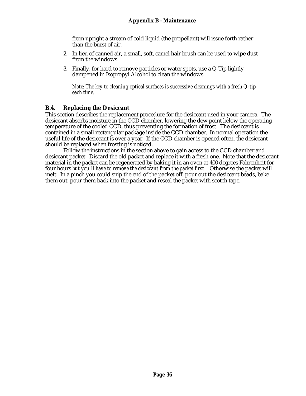from upright a stream of cold liquid (the propellant) will issue forth rather than the burst of air.

- 2. In lieu of canned air, a small, soft, camel hair brush can be used to wipe dust from the windows.
- 3. Finally, for hard to remove particles or water spots, use a Q-Tip lightly dampened in Isopropyl Alcohol to clean the windows.

*Note: The key to cleaning optical surfaces is successive cleanings with a fresh Q-tip each time.*

## **B.4. Replacing the Desiccant**

This section describes the replacement procedure for the desiccant used in your camera. The desiccant absorbs moisture in the CCD chamber, lowering the dew point below the operating temperature of the cooled CCD, thus preventing the formation of frost. The desiccant is contained in a small rectangular package inside the CCD chamber. In normal operation the useful life of the desiccant is over a year. If the CCD chamber is opened often, the desiccant should be replaced when frosting is noticed.

Follow the instructions in the section above to gain access to the CCD chamber and desiccant packet. Discard the old packet and replace it with a fresh one. Note that the desiccant material in the packet can be regenerated by baking it in an oven at 400 degrees Fahrenheit for four hours *but you'll have to remove the desiccant from the packet first* . Otherwise the packet will melt. In a pinch you could snip the end of the packet off, pour out the desiccant beads, bake them out, pour them back into the packet and reseal the packet with scotch tape.